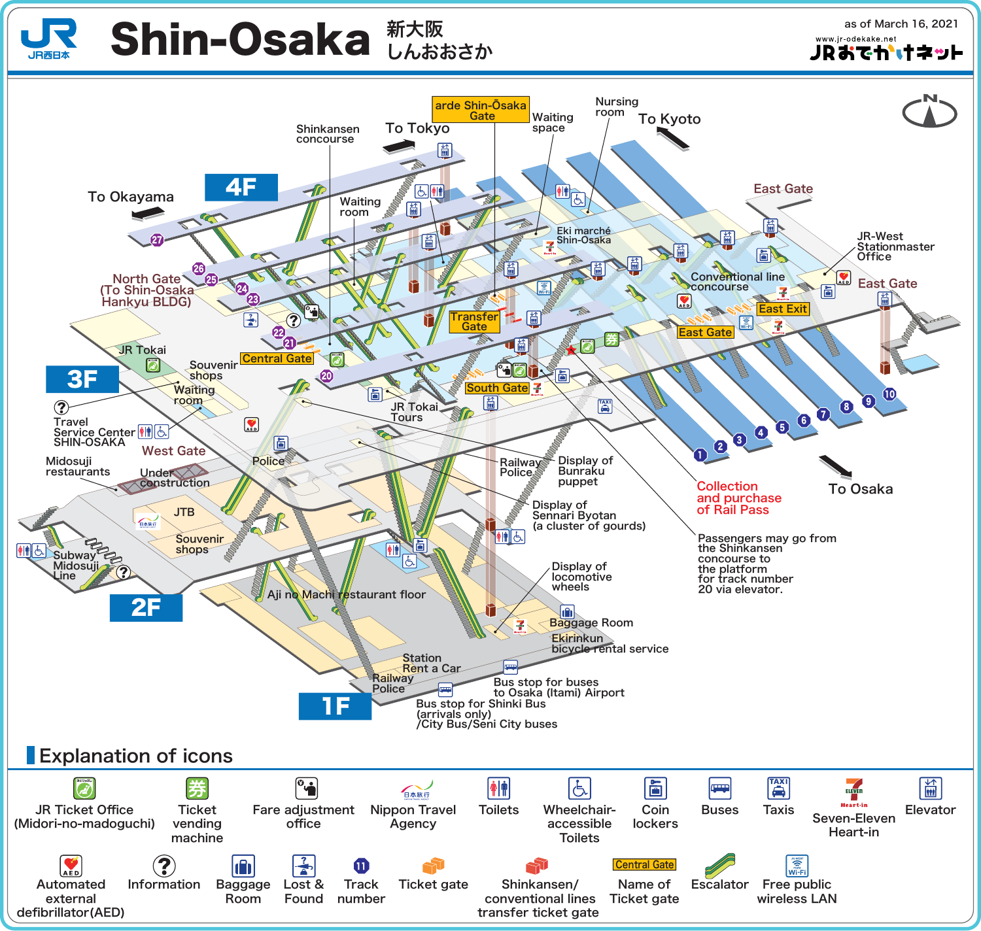

## Shin-Osaka  $\frac{\pi}{L}$ *khaish*

as of March 16, 2021